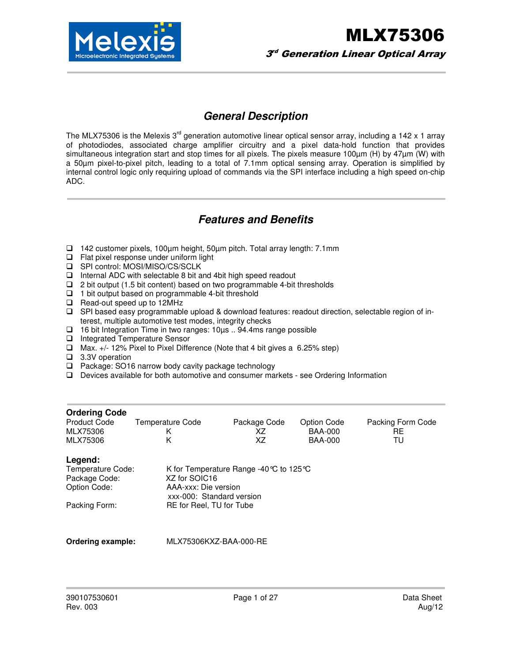

### **General Description**

The MLX75306 is the Melexis  $3<sup>rd</sup>$  generation automotive linear optical sensor array, including a 142 x 1 array of photodiodes, associated charge amplifier circuitry and a pixel data-hold function that provides simultaneous integration start and stop times for all pixels. The pixels measure 100µm (H) by 47µm (W) with a 50µm pixel-to-pixel pitch, leading to a total of 7.1mm optical sensing array. Operation is simplified by internal control logic only requiring upload of commands via the SPI interface including a high speed on-chip ADC.

### **Features and Benefits**

- 142 customer pixels, 100µm height, 50µm pitch. Total array length: 7.1mm
- $\Box$  Flat pixel response under uniform light
- □ SPI control: MOSI/MISO/CS/SCLK
- $\Box$  Internal ADC with selectable 8 bit and 4 bit high speed readout
- $\Box$  2 bit output (1.5 bit content) based on two programmable 4-bit thresholds
- $\Box$  1 bit output based on programmable 4-bit threshold
- Read-out speed up to 12MHz
- □ SPI based easy programmable upload & download features: readout direction, selectable region of interest, multiple automotive test modes, integrity checks
- 16 bit Integration Time in two ranges: 10µs .. 94.4ms range possible
- □ Integrated Temperature Sensor
- Max. +/- 12% Pixel to Pixel Difference (Note that 4 bit gives a 6.25% step)
- □ 3.3V operation
- $\Box$  Package: SO16 narrow body cavity package technology
- $\Box$  Devices available for both automotive and consumer markets see Ordering Information

| <b>Ordering Code</b><br>Product Code<br>MLX75306<br>MLX75306                   | Temperature Code<br>Κ<br>Κ                                                                                                                                   | Package Code<br>ΧZ<br>ΧZ | Option Code<br><b>BAA-000</b><br><b>BAA-000</b> | Packing Form Code<br>RE<br>TU |
|--------------------------------------------------------------------------------|--------------------------------------------------------------------------------------------------------------------------------------------------------------|--------------------------|-------------------------------------------------|-------------------------------|
| Legend:<br>Temperature Code:<br>Package Code:<br>Option Code:<br>Packing Form: | K for Temperature Range -40 $\degree$ C to 125 $\degree$ C<br>XZ for SOIC16<br>AAA-xxx: Die version<br>xxx-000: Standard version<br>RE for Reel, TU for Tube |                          |                                                 |                               |

**Ordering example:** MLX75306KXZ-BAA-000-RE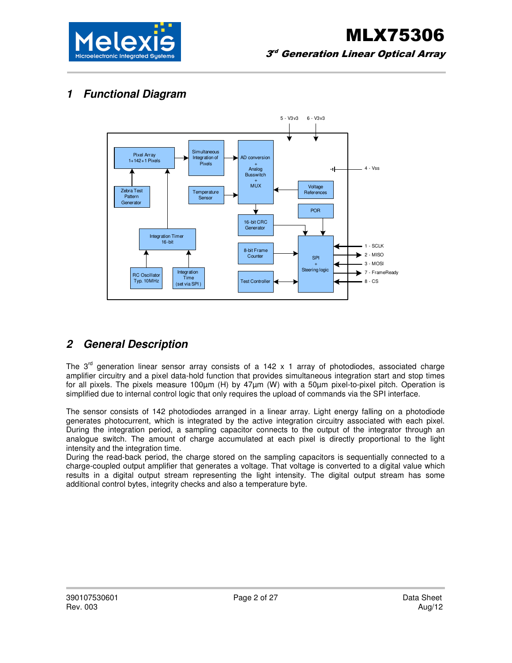

### **1 Functional Diagram**



## **2 General Description**

The  $3<sup>rd</sup>$  generation linear sensor array consists of a 142 x 1 array of photodiodes, associated charge amplifier circuitry and a pixel data-hold function that provides simultaneous integration start and stop times for all pixels. The pixels measure 100µm (H) by 47µm (W) with a 50µm pixel-to-pixel pitch. Operation is simplified due to internal control logic that only requires the upload of commands via the SPI interface.

The sensor consists of 142 photodiodes arranged in a linear array. Light energy falling on a photodiode generates photocurrent, which is integrated by the active integration circuitry associated with each pixel. During the integration period, a sampling capacitor connects to the output of the integrator through an analogue switch. The amount of charge accumulated at each pixel is directly proportional to the light intensity and the integration time.

During the read-back period, the charge stored on the sampling capacitors is sequentially connected to a charge-coupled output amplifier that generates a voltage. That voltage is converted to a digital value which results in a digital output stream representing the light intensity. The digital output stream has some additional control bytes, integrity checks and also a temperature byte.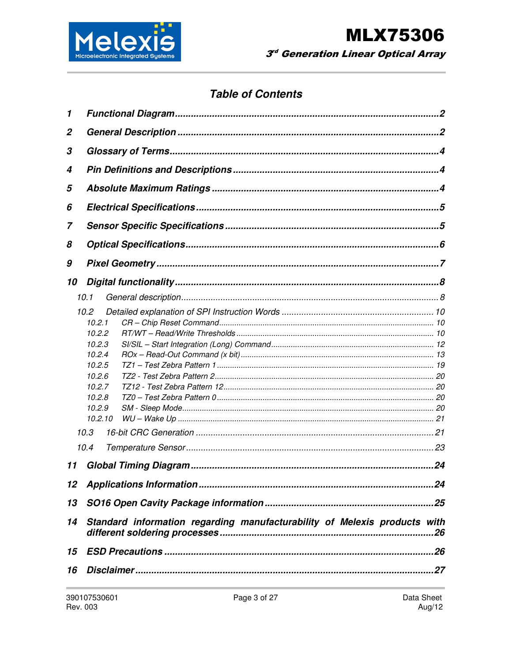

# **Table of Contents**

| 1                |                                                                                                                           |  |  |  |  |  |
|------------------|---------------------------------------------------------------------------------------------------------------------------|--|--|--|--|--|
| $\boldsymbol{2}$ |                                                                                                                           |  |  |  |  |  |
| 3                |                                                                                                                           |  |  |  |  |  |
| 4                |                                                                                                                           |  |  |  |  |  |
| 5                |                                                                                                                           |  |  |  |  |  |
| 6                |                                                                                                                           |  |  |  |  |  |
| 7                |                                                                                                                           |  |  |  |  |  |
| 8                |                                                                                                                           |  |  |  |  |  |
| 9                |                                                                                                                           |  |  |  |  |  |
| 10               |                                                                                                                           |  |  |  |  |  |
|                  | 10.1                                                                                                                      |  |  |  |  |  |
|                  | 10.2<br>10.2.1<br>10.2.2<br>10.2.3<br>10.2.4<br>10.2.5<br>10.2.6<br>10.2.7<br>10.2.8<br>10.2.9<br>10.2.10<br>10.3<br>10.4 |  |  |  |  |  |
| 11               |                                                                                                                           |  |  |  |  |  |
| 12               |                                                                                                                           |  |  |  |  |  |
| 13               |                                                                                                                           |  |  |  |  |  |
| 14               | Standard information regarding manufacturability of Melexis products with                                                 |  |  |  |  |  |
| 15               |                                                                                                                           |  |  |  |  |  |
| 16               |                                                                                                                           |  |  |  |  |  |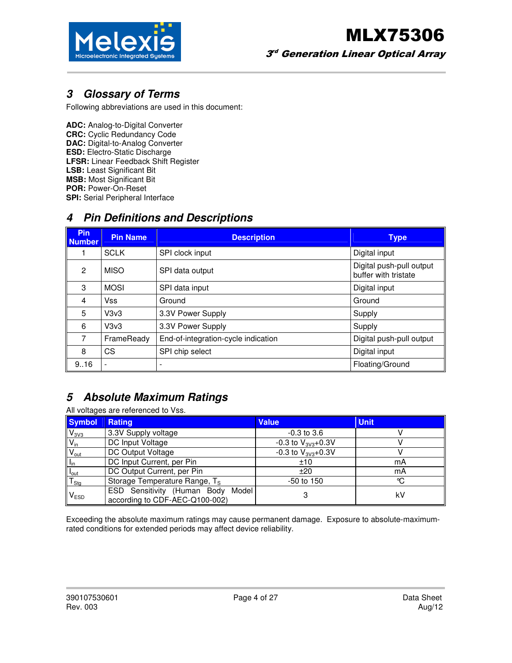

### **3 Glossary of Terms**

Following abbreviations are used in this document:

**ADC:** Analog-to-Digital Converter **CRC:** Cyclic Redundancy Code **DAC:** Digital-to-Analog Converter **ESD:** Electro-Static Discharge **LFSR:** Linear Feedback Shift Register **LSB:** Least Significant Bit **MSB:** Most Significant Bit **POR:** Power-On-Reset **SPI:** Serial Peripheral Interface

### **4 Pin Definitions and Descriptions**

| <b>Pin</b><br><b>Number</b> | <b>Pin Name</b> | <b>Description</b>                  | <b>Type</b>                                      |
|-----------------------------|-----------------|-------------------------------------|--------------------------------------------------|
|                             | <b>SCLK</b>     | SPI clock input                     | Digital input                                    |
| $\mathbf{P}$                | <b>MISO</b>     | SPI data output                     | Digital push-pull output<br>buffer with tristate |
| 3                           | <b>MOSI</b>     | SPI data input                      | Digital input                                    |
| 4                           | Vss             | Ground                              | Ground                                           |
| 5                           | V3v3            | 3.3V Power Supply                   | Supply                                           |
| 6                           | V3v3            | 3.3V Power Supply                   | Supply                                           |
| 7                           | FrameReady      | End-of-integration-cycle indication | Digital push-pull output                         |
| 8                           | СS              | SPI chip select                     | Digital input                                    |
| 9.16                        |                 | ۰                                   | Floating/Ground                                  |

# **5 Absolute Maximum Ratings**

All voltages are referenced to Vss.

| <b>Symbol</b>                           | Rating                                                                 | <b>Value</b>             | <b>Unit</b> |
|-----------------------------------------|------------------------------------------------------------------------|--------------------------|-------------|
| V <sub>3V3</sub>                        | 3.3V Supply voltage                                                    | $-0.3$ to 3.6            |             |
| $V_{in}$                                | DC Input Voltage                                                       | -0.3 to $V_{3V3}$ +0.3V  |             |
| $\overline{V}_{\text{out}}$             | DC Output Voltage                                                      | $-0.3$ to $V_{3V3}+0.3V$ |             |
| $\ $ $\ $ <sub>in</sub>                 | DC Input Current, per Pin                                              | ±10                      | mA          |
| $\frac{I_{\text{out}}}{T_{\text{Stg}}}$ | DC Output Current, per Pin                                             | ±20                      | mA          |
|                                         | Storage Temperature Range, T <sub>S</sub>                              | $-50$ to 150             | °C          |
| V <sub>ESD</sub>                        | ESD Sensitivity (Human Body<br>Model<br>according to CDF-AEC-Q100-002) |                          | k٧          |

Exceeding the absolute maximum ratings may cause permanent damage. Exposure to absolute-maximumrated conditions for extended periods may affect device reliability.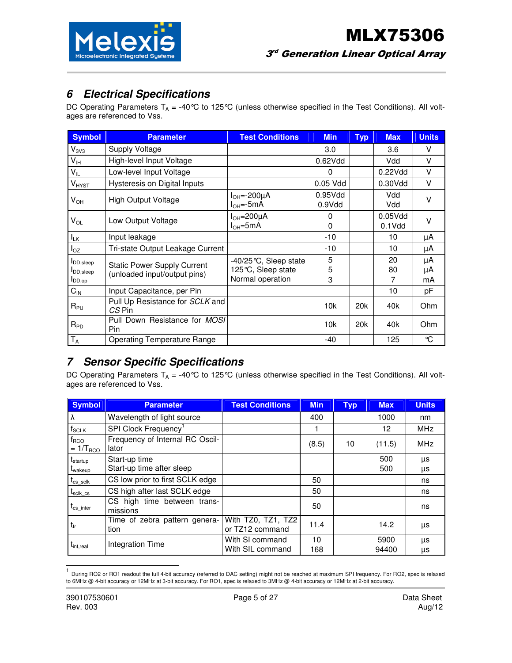

## **6 Electrical Specifications**

DC Operating Parameters  $T_A = -40^{\circ}C$  to 125°C (unless otherwise specified in the Test Conditions). All voltages are referenced to Vss.

| <b>Symbol</b>                                           | <b>Parameter</b>                                                   | <b>Test Conditions</b>                                             | <b>Min</b>        | <b>Typ</b>      | <b>Max</b>           | <b>Units</b>   |
|---------------------------------------------------------|--------------------------------------------------------------------|--------------------------------------------------------------------|-------------------|-----------------|----------------------|----------------|
| $V_{3V3}$                                               | <b>Supply Voltage</b>                                              |                                                                    | 3.0               |                 | 3.6                  | v              |
| V <sub>IH</sub>                                         | High-level Input Voltage                                           |                                                                    | 0.62Vdd           |                 | Vdd                  | V              |
| $V_{IL}$                                                | Low-level Input Voltage                                            |                                                                    | $\Omega$          |                 | 0.22Vdd              | V              |
| <b>V</b> <sub>HYST</sub>                                | Hysteresis on Digital Inputs                                       |                                                                    | 0.05 Vdd          |                 | 0.30Vdd              | V              |
| $\mathsf{V}_{\mathsf{OH}}$                              | <b>High Output Voltage</b>                                         | $I_{OH} = -200 \mu A$<br>$I_{OH} = -5mA$                           | 0.95Vdd<br>0.9Vdd |                 | Vdd<br>Vdd           | $\vee$         |
| $V_{OL}$                                                | Low Output Voltage                                                 | $I_{OH} = 200 \mu A$<br>$IOH=5mA$                                  | 0<br>0            |                 | 0.05Vdd<br>$0.1$ Vdd | v              |
| $I_{LK}$                                                | Input leakage                                                      |                                                                    | -10               |                 | 10                   | μA             |
| $I_{OZ}$                                                | Tri-state Output Leakage Current                                   |                                                                    | $-10$             |                 | 10                   | μA             |
| <b>I</b> DD, sleep<br><b>I</b> DD, sleep<br>$I_{DD,op}$ | <b>Static Power Supply Current</b><br>(unloaded input/output pins) | $-40/25$ °C, Sleep state<br>125°C, Sleep state<br>Normal operation | 5<br>5<br>3       |                 | 20<br>80<br>7        | μA<br>μA<br>mA |
| $C_{IN}$                                                | Input Capacitance, per Pin                                         |                                                                    |                   |                 | 10                   | pF             |
| $R_{PU}$                                                | Pull Up Resistance for SCLK and<br>$CS$ Pin                        |                                                                    | 10k               | 20 <sub>k</sub> | 40 <sub>k</sub>      | Ohm            |
| $R_{PD}$                                                | Pull Down Resistance for MOSI<br>Pin                               |                                                                    | 10k               | 20 <sub>k</sub> | 40k                  | Ohm            |
| $T_A$                                                   | <b>Operating Temperature Range</b>                                 |                                                                    | $-40$             |                 | 125                  | °C             |

### **7 Sensor Specific Specifications**

DC Operating Parameters  $T_A = -40^{\circ}C$  to 125°C (unless otherwise specified in the Test Conditions). All voltages are referenced to Vss.

| Symbol                                      | <b>Parameter</b>                           | <b>Test Conditions</b>                | <b>Min</b> | <b>Typ</b> | <b>Max</b>    | <b>Units</b> |
|---------------------------------------------|--------------------------------------------|---------------------------------------|------------|------------|---------------|--------------|
| ∣λ                                          | Wavelength of light source                 |                                       | 400        |            | 1000          | nm           |
| $f_{SCLK}$                                  | SPI Clock Frequency <sup>1</sup>           |                                       |            |            | 12            | <b>MHz</b>   |
| $f_{\text{RCO}}$<br>$= 1/T_{RCO}$           | Frequency of Internal RC Oscil-<br>lator   |                                       | (8.5)      | 10         | (11.5)        | <b>MHz</b>   |
| $t_{\text{startup}}$<br>t <sub>wakeup</sub> | Start-up time<br>Start-up time after sleep |                                       |            |            | 500<br>500    | μs<br>μs     |
| $t_{\rm cs\_sclk}$                          | CS low prior to first SCLK edge            |                                       | 50         |            |               | ns           |
| $t_{\rm sclk}$ $_{\rm cs}$                  | CS high after last SCLK edge               |                                       | 50         |            |               | ns           |
| $t_{\rm cs\_inter}$                         | CS high time between trans-<br>missions    |                                       | 50         |            |               | ns           |
| $t_{fr}$                                    | Time of zebra pattern genera-<br>tion      | With TZ0, TZ1, TZ2<br>or TZ12 command | 11.4       |            | 14.2          | μs           |
| $t_{\text{int,real}}$                       | Integration Time                           | With SI command<br>With SIL command   | 10<br>168  |            | 5900<br>94400 | μs<br>μs     |

<sup>|&</sup>lt;br>1 During RO2 or RO1 readout the full 4-bit accuracy (referred to DAC setting) might not be reached at maximum SPI frequency. For RO2, spec is relaxed to 6MHz @ 4-bit accuracy or 12MHz at 3-bit accuracy. For RO1, spec is relaxed to 3MHz @ 4-bit accuracy or 12MHz at 2-bit accuracy.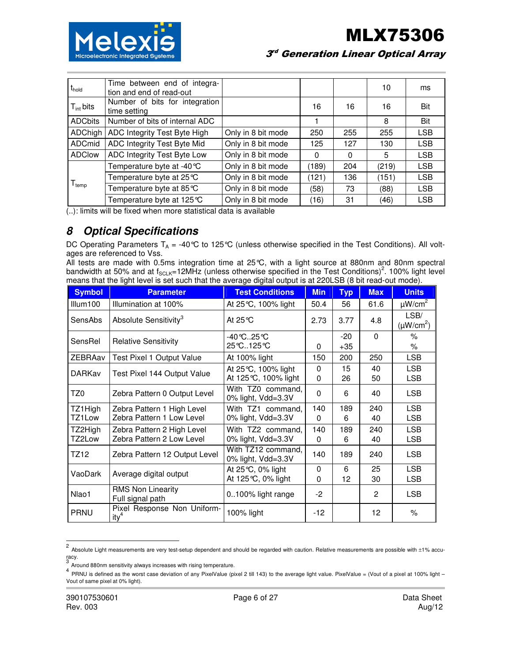

| t <sub>hold</sub>             | Time between end of integra-<br>tion and end of read-out |                    |          |          | 10    | ms         |
|-------------------------------|----------------------------------------------------------|--------------------|----------|----------|-------|------------|
| $T_{int}$ bits                | Number of bits for integration<br>time setting           |                    | 16       | 16       | 16    | Bit        |
| <b>ADCbits</b>                | Number of bits of internal ADC                           |                    |          |          | 8     | Bit        |
| <b>ADChigh</b>                | ADC Integrity Test Byte High                             | Only in 8 bit mode | 250      | 255      | 255   | <b>LSB</b> |
| ADCmid                        | ADC Integrity Test Byte Mid                              | Only in 8 bit mode | 125      | 127      | 130   | <b>LSB</b> |
| <b>ADClow</b>                 | ADC Integrity Test Byte Low                              | Only in 8 bit mode | $\Omega$ | $\Omega$ | 5     | <b>LSB</b> |
|                               | Temperature byte at -40 °C                               | Only in 8 bit mode | (189)    | 204      | (219) | <b>LSB</b> |
| ${\mathsf T}_{\textsf{temp}}$ | Temperature byte at 25 ℃                                 | Only in 8 bit mode | (121)    | 136      | (151) | <b>LSB</b> |
|                               | Temperature byte at 85 °C                                | Only in 8 bit mode | (58)     | 73       | (88)  | <b>LSB</b> |
|                               | Temperature byte at 125 ℃                                | Only in 8 bit mode | (16)     | 31       | (46)  | <b>LSB</b> |

(..): limits will be fixed when more statistical data is available

### **8 Optical Specifications**

DC Operating Parameters  $T_A = -40^{\circ}C$  to 125°C (unless otherwise specified in the Test Conditions). All voltages are referenced to Vss.

All tests are made with 0.5ms integration time at 25°C, with a light source at 880nm and 80nm spectral bandwidth at 50% and at f<sub>SCLK</sub>=12MHz (unless otherwise specified in the Test Conditions)<sup>2</sup>. 100% light level means that the light level is set such that the average digital output is at 220LSB (8 bit read-out mode).

| <b>Symbol</b>     | <b>Parameter</b>                                        | <b>Test Conditions</b>                     | <b>Min</b>      | <b>Typ</b>     | <b>Max</b> | <b>Units</b>             |
|-------------------|---------------------------------------------------------|--------------------------------------------|-----------------|----------------|------------|--------------------------|
| Illum100          | Illumination at 100%                                    | At 25℃, 100% light                         | 50.4            | 56             | 61.6       | $\mu$ W/cm <sup>2</sup>  |
| SensAbs           | Absolute Sensitivity <sup>3</sup>                       | At $25^{\circ}$ C                          | 2.73            | 3.77           | 4.8        | LSB/<br>$(\mu W/cm^2)$   |
| SensRel           | <b>Relative Sensitivity</b>                             | -40℃25℃<br>25℃125℃                         | 0               | $-20$<br>$+35$ | $\Omega$   | $\%$<br>$\%$             |
| <b>ZEBRAav</b>    | Test Pixel 1 Output Value                               | At 100% light                              | 150             | 200            | 250        | <b>LSB</b>               |
| <b>DARKav</b>     | Test Pixel 144 Output Value                             | At 25℃, 100% light<br>At 125 ℃, 100% light | $\Omega$<br>0   | 15<br>26       | 40<br>50   | <b>LSB</b><br><b>LSB</b> |
| TZ0               | Zebra Pattern 0 Output Level                            | With TZ0 command,<br>0% light, Vdd=3.3V    | $\Omega$        | 6              | 40         | <b>LSB</b>               |
| TZ1High<br>TZ1Low | Zebra Pattern 1 High Level<br>Zebra Pattern 1 Low Level | With TZ1 command,<br>$0\%$ light, Vdd=3.3V | 140<br>$\Omega$ | 189<br>6       | 240<br>40  | <b>LSB</b><br><b>LSB</b> |
| TZ2High<br>TZ2Low | Zebra Pattern 2 High Level<br>Zebra Pattern 2 Low Level | With TZ2 command,<br>0% light, Vdd=3.3V    | 140<br>$\Omega$ | 189<br>6       | 240<br>40  | <b>LSB</b><br><b>LSB</b> |
| TZ12              | Zebra Pattern 12 Output Level                           | With TZ12 command,<br>0% light, Vdd=3.3V   | 140             | 189            | 240        | <b>LSB</b>               |
| VaoDark           | Average digital output                                  | At 25 ℃, 0% light<br>At 125℃, 0% light     | 0<br>0          | 6<br>12        | 25<br>30   | <b>LSB</b><br><b>LSB</b> |
| Nlao1             | <b>RMS Non Linearity</b><br>Full signal path            | 0100% light range                          | $-2$            |                | 2          | <b>LSB</b>               |
| <b>PRNU</b>       | Pixel Response Non Uniform-<br>ity <sup>4</sup>         | 100% light                                 | $-12$           |                | 12         | $\%$                     |

<sup>2</sup> Absolute Light measurements are very test-setup dependent and should be regarded with caution. Relative measurements are possible with ±1% accuracy. 3

Around 880nm sensitivity always increases with rising temperature.

<sup>&</sup>lt;sup>4</sup> PRNU is defined as the worst case deviation of any PixelValue (pixel 2 till 143) to the average light value. PixelValue = (Vout of a pixel at 100% light – Vout of same pixel at 0% light).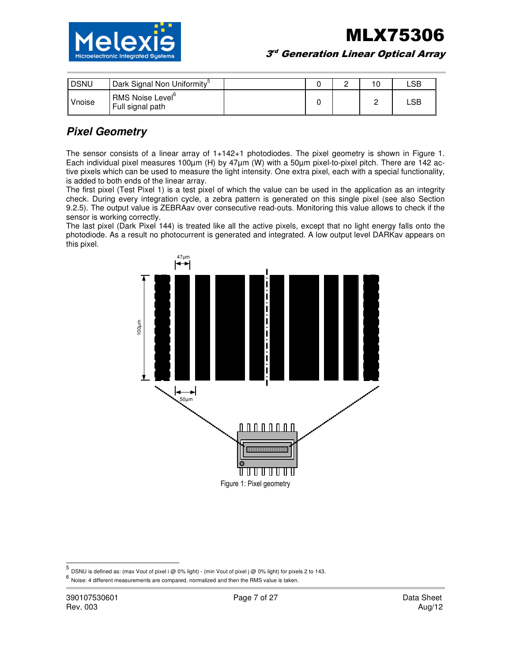

MLX75306  $3^{\circ}$  Generation Linear Optical Array

| <b>DSNU</b> | Dark Signal Non Uniformity <sup>5</sup>          |  |   | LSB   |
|-------------|--------------------------------------------------|--|---|-------|
| Vnoise      | RMS Noise Level <sup>o</sup><br>Full signal path |  | _ | ∟SB i |

### **Pixel Geometry**

The sensor consists of a linear array of 1+142+1 photodiodes. The pixel geometry is shown in Figure 1. Each individual pixel measures 100µm (H) by 47µm (W) with a 50µm pixel-to-pixel pitch. There are 142 active pixels which can be used to measure the light intensity. One extra pixel, each with a special functionality, is added to both ends of the linear array.

The first pixel (Test Pixel 1) is a test pixel of which the value can be used in the application as an integrity check. During every integration cycle, a zebra pattern is generated on this single pixel (see also Section 9.2.5). The output value is ZEBRAav over consecutive read-outs. Monitoring this value allows to check if the sensor is working correctly.

The last pixel (Dark Pixel 144) is treated like all the active pixels, except that no light energy falls onto the photodiode. As a result no photocurrent is generated and integrated. A low output level DARKav appears on this pixel.



 5 DSNU is defined as: (max Vout of pixel i @ 0% light) - (min Vout of pixel j @ 0% light) for pixels 2 to 143.

<sup>6</sup> Noise: 4 different measurements are compared, normalized and then the RMS value is taken.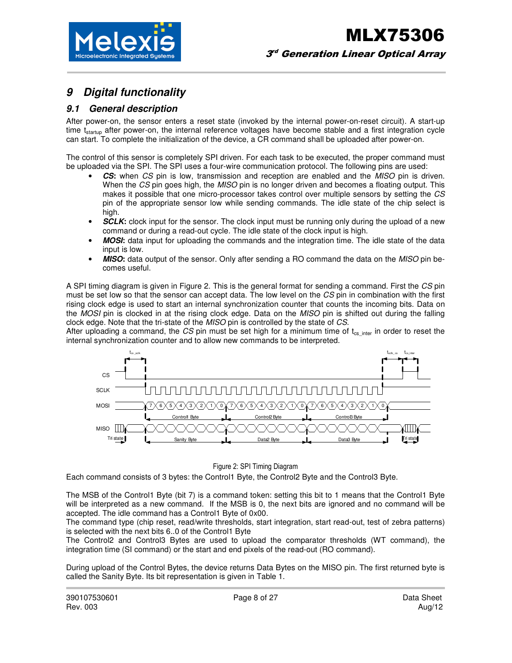

### **9 Digital functionality**

#### **9.1 General description**

After power-on, the sensor enters a reset state (invoked by the internal power-on-reset circuit). A start-up time t<sub>startup</sub> after power-on, the internal reference voltages have become stable and a first integration cycle can start. To complete the initialization of the device, a CR command shall be uploaded after power-on.

The control of this sensor is completely SPI driven. For each task to be executed, the proper command must be uploaded via the SPI. The SPI uses a four-wire communication protocol. The following pins are used:

- **CS:** when CS pin is low, transmission and reception are enabled and the MISO pin is driven. When the CS pin goes high, the MISO pin is no longer driven and becomes a floating output. This makes it possible that one micro-processor takes control over multiple sensors by setting the CS pin of the appropriate sensor low while sending commands. The idle state of the chip select is high.
- **SCLK:** clock input for the sensor. The clock input must be running only during the upload of a new command or during a read-out cycle. The idle state of the clock input is high.
- **MOSI**: data input for uploading the commands and the integration time. The idle state of the data input is low.
- **MISO**: data output of the sensor. Only after sending a RO command the data on the MISO pin becomes useful.

A SPI timing diagram is given in Figure 2. This is the general format for sending a command. First the CS pin must be set low so that the sensor can accept data. The low level on the CS pin in combination with the first rising clock edge is used to start an internal synchronization counter that counts the incoming bits. Data on the MOSI pin is clocked in at the rising clock edge. Data on the MISO pin is shifted out during the falling clock edge. Note that the tri-state of the MISO pin is controlled by the state of CS.

After uploading a command, the CS pin must be set high for a minimum time of  $t_{cs}$  inter in order to reset the internal synchronization counter and to allow new commands to be interpreted.



#### Figure 2: SPI Timing Diagram

Each command consists of 3 bytes: the Control1 Byte, the Control2 Byte and the Control3 Byte.

The MSB of the Control1 Byte (bit 7) is a command token: setting this bit to 1 means that the Control1 Byte will be interpreted as a new command. If the MSB is 0, the next bits are ignored and no command will be accepted. The idle command has a Control1 Byte of 0x00.

The command type (chip reset, read/write thresholds, start integration, start read-out, test of zebra patterns) is selected with the next bits 6..0 of the Control1 Byte

The Control2 and Control3 Bytes are used to upload the comparator thresholds (WT command), the integration time (SI command) or the start and end pixels of the read-out (RO command).

During upload of the Control Bytes, the device returns Data Bytes on the MISO pin. The first returned byte is called the Sanity Byte. Its bit representation is given in Table 1.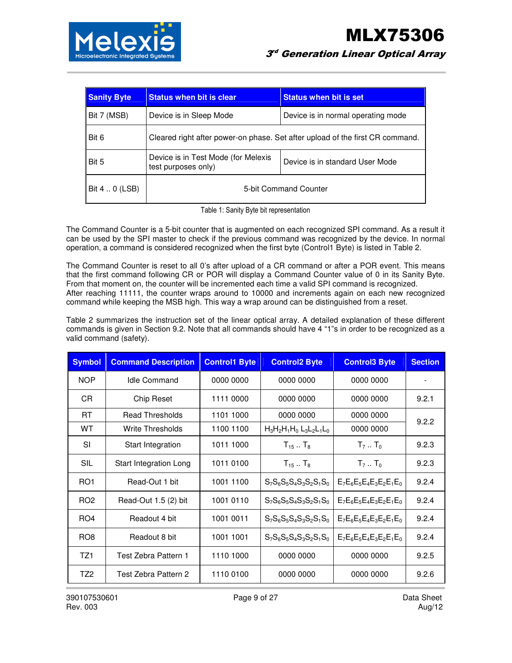

| <b>Sanity Byte</b> | <b>Status when bit is clear</b><br><b>Status when bit is set</b>                              |  |  |  |
|--------------------|-----------------------------------------------------------------------------------------------|--|--|--|
| Bit 7 (MSB)        | Device is in Sleep Mode<br>Device is in normal operating mode                                 |  |  |  |
| Bit 6              | Cleared right after power-on phase. Set after upload of the first CR command.                 |  |  |  |
| Bit 5              | Device is in Test Mode (for Melexis<br>Device is in standard User Mode<br>test purposes only) |  |  |  |
| Bit 4  0 (LSB)     | 5-bit Command Counter                                                                         |  |  |  |

Table 1: Sanity Byte bit representation

The Command Counter is a 5-bit counter that is augmented on each recognized SPI command. As a result it can be used by the SPI master to check if the previous command was recognized by the device. In normal operation, a command is considered recognized when the first byte (Control1 Byte) is listed in Table 2.

The Command Counter is reset to all 0's after upload of a CR command or after a POR event. This means that the first command following CR or POR will display a Command Counter value of 0 in its Sanity Byte. From that moment on, the counter will be incremented each time a valid SPI command is recognized. After reaching 11111, the counter wraps around to 10000 and increments again on each new recognized command while keeping the MSB high. This way a wrap around can be distinguished from a reset.

Table 2 summarizes the instruction set of the linear optical array. A detailed explanation of these different commands is given in Section 9.2. Note that all commands should have 4 "1"s in order to be recognized as a valid command (safety).

| <b>Symbol</b>   | <b>Command Description</b> | <b>Control1 Byte</b> | <b>Control2 Byte</b>          | <b>Control3 Byte</b>       | <b>Section</b> |
|-----------------|----------------------------|----------------------|-------------------------------|----------------------------|----------------|
| <b>NOP</b>      | <b>Idle Command</b>        | 0000 0000            | 0000 0000                     | 0000 0000                  |                |
| CR.             | Chip Reset                 | 1111 0000            | 0000 0000                     | 0000 0000                  | 9.2.1          |
| RT              | <b>Read Thresholds</b>     | 1101 1000            | 0000 0000                     | 0000 0000                  | 9.2.2          |
| <b>WT</b>       | <b>Write Thresholds</b>    | 1100 1100            | $H_3H_2H_1H_0$ $L_3L_2L_1L_0$ | 0000 0000                  |                |
| <b>SI</b>       | Start Integration          | 1011 1000            | $T_{15}$ T <sub>8</sub>       | $T_7T_0$                   | 9.2.3          |
| SIL             | Start Integration Long     | 1011 0100            | $T_{15}$ T <sub>8</sub>       | $T_7T_0$                   | 9.2.3          |
| RO <sub>1</sub> | Read-Out 1 bit             | 1001 1100            | $S_7S_6S_5S_4S_3S_2S_1S_0$    | $E_7E_6E_5E_4E_3E_2E_1E_0$ | 9.2.4          |
| RO <sub>2</sub> | Read-Out $1.5(2)$ bit      | 1001 0110            | $S_7S_6S_5S_4S_3S_2S_1S_0$    | $E_7E_6E_5E_4E_3E_2E_1E_0$ | 9.2.4          |
| RO <sub>4</sub> | Readout 4 bit              | 1001 0011            | $S_7S_6S_5S_4S_3S_2S_1S_0$    | $E_7E_6E_5E_4E_3E_2E_1E_0$ | 9.2.4          |
| RO <sub>8</sub> | Readout 8 bit              | 1001 1001            | $S_7S_6S_5S_4S_3S_2S_1S_0$    | $E_7E_6E_5E_4E_3E_2E_1E_0$ | 9.2.4          |
| TZ1             | Test Zebra Pattern 1       | 1110 1000            | 0000 0000                     | 0000 0000                  | 9.2.5          |
| TZ <sub>2</sub> | Test Zebra Pattern 2       | 1110 0100            | 0000 0000                     | 0000 0000                  | 9.2.6          |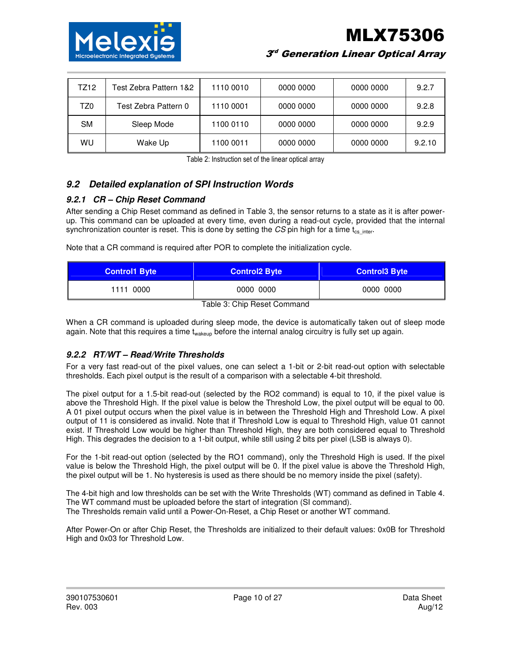

MLX75306

 $3^{\circ}$  Generation Linear Optical Array

| TZ12 | Test Zebra Pattern 1&2 | 1110 0010 | 0000 0000 | 0000 0000 | 9.2.7  |
|------|------------------------|-----------|-----------|-----------|--------|
| TZ0  | Test Zebra Pattern 0   | 1110 0001 | 0000 0000 | 0000 0000 | 9.2.8  |
| SM   | Sleep Mode             | 1100 0110 | 0000 0000 | 0000 0000 | 9.2.9  |
| WU   | Wake Up                | 1100 0011 | 0000 0000 | 0000 0000 | 9.2.10 |

Table 2: Instruction set of the linear optical array

### **9.2 Detailed explanation of SPI Instruction Words**

#### **9.2.1 CR – Chip Reset Command**

After sending a Chip Reset command as defined in Table 3, the sensor returns to a state as it is after powerup. This command can be uploaded at every time, even during a read-out cycle, provided that the internal synchronization counter is reset. This is done by setting the CS pin high for a time  $t_{cs}$  inter-

Note that a CR command is required after POR to complete the initialization cycle.

| <b>Control1 Byte</b> | <b>Control2 Byte</b> | <b>Control3 Byte</b> |
|----------------------|----------------------|----------------------|
| 1111 0000            | 0000 0000            | 0000 0000            |

Table 3: Chip Reset Command

When a CR command is uploaded during sleep mode, the device is automatically taken out of sleep mode again. Note that this requires a time t<sub>wakeup</sub> before the internal analog circuitry is fully set up again.

#### **9.2.2 RT/WT – Read/Write Thresholds**

For a very fast read-out of the pixel values, one can select a 1-bit or 2-bit read-out option with selectable thresholds. Each pixel output is the result of a comparison with a selectable 4-bit threshold.

The pixel output for a 1.5-bit read-out (selected by the RO2 command) is equal to 10, if the pixel value is above the Threshold High. If the pixel value is below the Threshold Low, the pixel output will be equal to 00. A 01 pixel output occurs when the pixel value is in between the Threshold High and Threshold Low. A pixel output of 11 is considered as invalid. Note that if Threshold Low is equal to Threshold High, value 01 cannot exist. If Threshold Low would be higher than Threshold High, they are both considered equal to Threshold High. This degrades the decision to a 1-bit output, while still using 2 bits per pixel (LSB is always 0).

For the 1-bit read-out option (selected by the RO1 command), only the Threshold High is used. If the pixel value is below the Threshold High, the pixel output will be 0. If the pixel value is above the Threshold High, the pixel output will be 1. No hysteresis is used as there should be no memory inside the pixel (safety).

The 4-bit high and low thresholds can be set with the Write Thresholds (WT) command as defined in Table 4. The WT command must be uploaded before the start of integration (SI command). The Thresholds remain valid until a Power-On-Reset, a Chip Reset or another WT command.

After Power-On or after Chip Reset, the Thresholds are initialized to their default values: 0x0B for Threshold High and 0x03 for Threshold Low.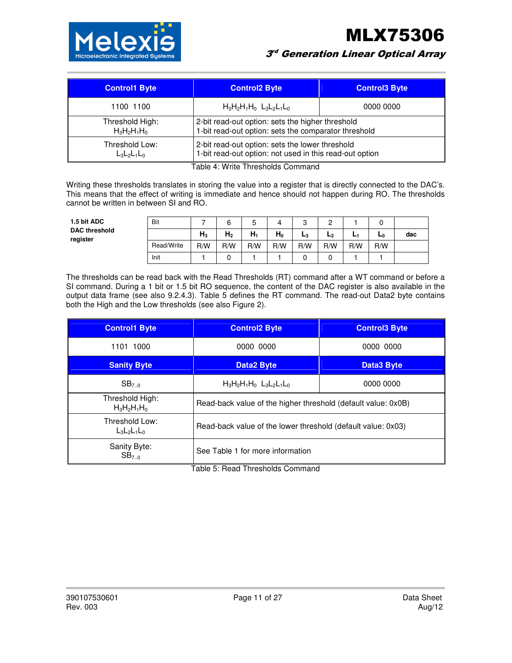MLX75306



 $3^{\circ}$  Generation Linear Optical Array

| <b>Control1 Byte</b> | <b>Control2 Byte</b>                                    | <b>Control3 Byte</b> |  |
|----------------------|---------------------------------------------------------|----------------------|--|
| 1100 1100            | $H_3H_2H_1H_0$ $L_3L_2L_1L_0$                           | 0000 0000            |  |
| Threshold High:      | 2-bit read-out option: sets the higher threshold        |                      |  |
| $H_3H_2H_1H_0$       | 1-bit read-out option: sets the comparator threshold    |                      |  |
| Threshold Low:       | 2-bit read-out option: sets the lower threshold         |                      |  |
| $L_3L_2L_1L_0$       | 1-bit read-out option: not used in this read-out option |                      |  |

Table 4: Write Thresholds Command

Writing these thresholds translates in storing the value into a register that is directly connected to the DAC's. This means that the effect of writing is immediate and hence should not happen during RO. The thresholds cannot be written in between SI and RO.

| 1.5 bit ADC                      | Bit        |                | ⌒              | 5     | 4     | c<br>ບ | ◠              |     |     |     |
|----------------------------------|------------|----------------|----------------|-------|-------|--------|----------------|-----|-----|-----|
| <b>DAC threshold</b><br>register |            | H <sub>3</sub> | H <sub>2</sub> | $H_1$ | $H_0$ | $L_3$  | L <sub>2</sub> | ы   | L0  | dac |
|                                  | Read/Write | R/W            | R/W            | R/W   | R/W   | R/W    | R/W            | R/W | R/W |     |
|                                  | Init       |                |                |       |       |        |                |     |     |     |

The thresholds can be read back with the Read Thresholds (RT) command after a WT command or before a SI command. During a 1 bit or 1.5 bit RO sequence, the content of the DAC register is also available in the output data frame (see also 9.2.4.3). Table 5 defines the RT command. The read-out Data2 byte contains both the High and the Low thresholds (see also Figure 2).

| <b>Control2 Byte</b>                                          | <b>Control3 Byte</b>                         |  |
|---------------------------------------------------------------|----------------------------------------------|--|
| 0000 0000                                                     | 0000 0000                                    |  |
| <b>Data2 Byte</b>                                             | <b>Data3 Byte</b>                            |  |
| $H_3H_2H_1H_0$ $L_3L_2L_1L_0$                                 | 0000 0000                                    |  |
| Read-back value of the higher threshold (default value: 0x0B) |                                              |  |
| Read-back value of the lower threshold (default value: 0x03)  |                                              |  |
| See Table 1 for more information                              |                                              |  |
|                                                               | Tallet F. D. and Thursday black Organization |  |

Table 5: Read Thresholds Command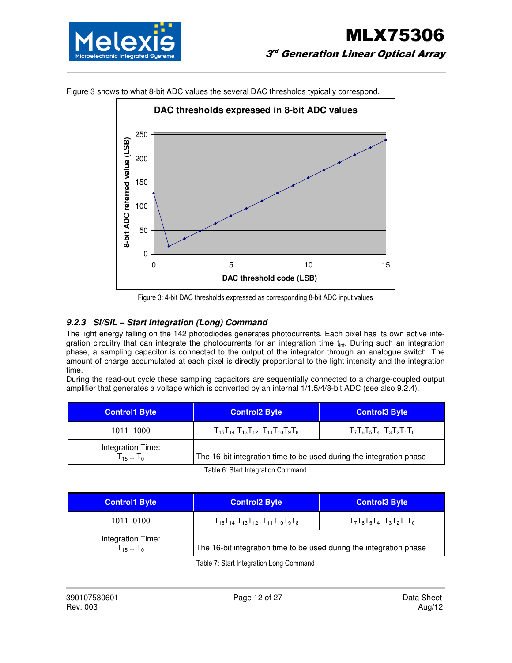



Figure 3 shows to what 8-bit ADC values the several DAC thresholds typically correspond.

#### **9.2.3 SI/SIL – Start Integration (Long) Command**

The light energy falling on the 142 photodiodes generates photocurrents. Each pixel has its own active integration circuitry that can integrate the photocurrents for an integration time  $t_{int}$ . During such an integration phase, a sampling capacitor is connected to the output of the integrator through an analogue switch. The amount of charge accumulated at each pixel is directly proportional to the light intensity and the integration time.

During the read-out cycle these sampling capacitors are sequentially connected to a charge-coupled output amplifier that generates a voltage which is converted by an internal 1/1.5/4/8-bit ADC (see also 9.2.4).

| <b>Control1 Byte</b>                | <b>Control2 Byte</b>                                                | <b>Control3 Byte</b>          |  |  |
|-------------------------------------|---------------------------------------------------------------------|-------------------------------|--|--|
| 1011 1000                           | $T_{15}T_{14}T_{13}T_{12}T_{11}T_{10}T_9T_8$                        | $T_7T_6T_5T_4$ $T_3T_2T_1T_0$ |  |  |
| Integration Time:<br>$T_{15}$ $T_0$ | The 16-bit integration time to be used during the integration phase |                               |  |  |

Table 6: Start Integration Command

| <b>Control1 Byte</b>                         | <b>Control2 Byte</b>                                                | <b>Control3 Byte</b>          |  |
|----------------------------------------------|---------------------------------------------------------------------|-------------------------------|--|
| 1011 0100                                    | $T_{15}T_{14}T_{13}T_{12}T_{11}T_{10}T_{9}T_{8}$                    | $T_7T_6T_5T_4$ $T_3T_2T_1T_0$ |  |
| Integration Time:<br>$T_{15}$ T <sub>0</sub> | The 16-bit integration time to be used during the integration phase |                               |  |

Table 7: Start Integration Long Command

Figure 3: 4-bit DAC thresholds expressed as corresponding 8-bit ADC input values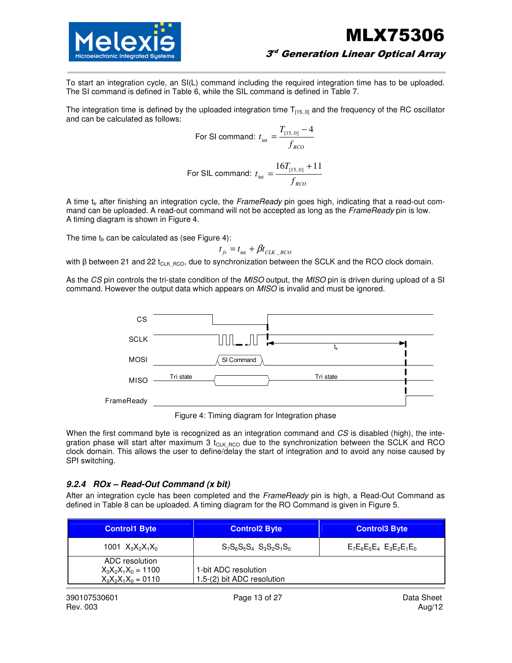



#### $3^{\circ}$  Generation Linear Optical Array

To start an integration cycle, an SI(L) command including the required integration time has to be uploaded. The SI command is defined in Table 6, while the SIL command is defined in Table 7.

The integration time is defined by the uploaded integration time  $T_{[15..0]}$  and the frequency of the RC oscillator and can be calculated as follows:

For SI command: 
$$
t_{\text{int}} = \frac{T_{[15.0]} - 4}{f_{RCO}}
$$

For SIL command: 
$$
t_{\text{int}} = \frac{16T_{[15..0]} + 11}{f_{\text{RCO}}}
$$

A time  $t_f$  after finishing an integration cycle, the FrameReady pin goes high, indicating that a read-out command can be uploaded. A read-out command will not be accepted as long as the FrameReady pin is low. A timing diagram is shown in Figure 4.

The time  $t_{fr}$  can be calculated as (see Figure 4):

$$
t_{fr} = t_{\text{int}} + \beta t_{CLK\_RCO}
$$

with β between 21 and 22 t<sub>CLK RCO</sub>, due to synchronization between the SCLK and the RCO clock domain.

As the CS pin controls the tri-state condition of the MISO output, the MISO pin is driven during upload of a SI command. However the output data which appears on MISO is invalid and must be ignored.



Figure 4: Timing diagram for Integration phase

When the first command byte is recognized as an integration command and CS is disabled (high), the integration phase will start after maximum 3  $t_{CLK RCO}$  due to the synchronization between the SCLK and RCO clock domain. This allows the user to define/delay the start of integration and to avoid any noise caused by SPI switching.

#### **9.2.4 ROx – Read-Out Command (x bit)**

After an integration cycle has been completed and the FrameReady pin is high, a Read-Out Command as defined in Table 8 can be uploaded. A timing diagram for the RO Command is given in Figure 5.

| <b>Control1 Byte</b>                                             | <b>Control2 Byte</b>                               | <b>Control3 Byte</b>          |  |
|------------------------------------------------------------------|----------------------------------------------------|-------------------------------|--|
| 1001 $X_3X_2X_1X_0$                                              | $S_7S_6S_5S_4$ $S_3S_2S_1S_0$                      | $E_7E_6E_5E_4$ $E_3E_2E_1E_0$ |  |
| ADC resolution<br>$X_3X_2X_1X_0 = 1100$<br>$X_3X_2X_1X_0 = 0110$ | 1-bit ADC resolution<br>1.5-(2) bit ADC resolution |                               |  |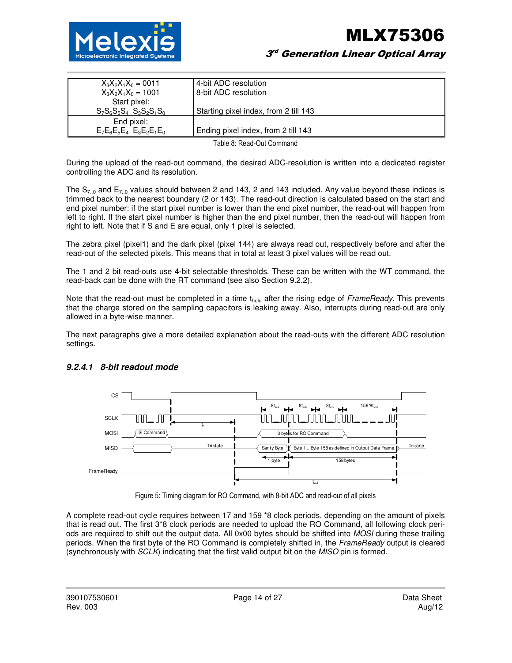

#### $3^{\circ}$  Generation Linear Optical Array

| $X_3X_2X_1X_0 = 0011$         | 4-bit ADC resolution                  |
|-------------------------------|---------------------------------------|
| $X_3X_2X_1X_0 = 1001$         | 8-bit ADC resolution                  |
| Start pixel:                  |                                       |
| $S_7S_6S_5S_4$ $S_3S_2S_1S_0$ | Starting pixel index, from 2 till 143 |
| End pixel:                    |                                       |
| $E_7E_6E_5E_4$ $E_3E_2E_1E_0$ | Ending pixel index, from 2 till 143   |
|                               |                                       |

Table 8: Read-Out Command

During the upload of the read-out command, the desired ADC-resolution is written into a dedicated register controlling the ADC and its resolution.

The  $S_{7,0}$  and  $E_{7,0}$  values should between 2 and 143, 2 and 143 included. Any value beyond these indices is trimmed back to the nearest boundary (2 or 143). The read-out direction is calculated based on the start and end pixel number: if the start pixel number is lower than the end pixel number, the read-out will happen from left to right. If the start pixel number is higher than the end pixel number, then the read-out will happen from right to left. Note that if S and E are equal, only 1 pixel is selected.

The zebra pixel (pixel1) and the dark pixel (pixel 144) are always read out, respectively before and after the read-out of the selected pixels. This means that in total at least 3 pixel values will be read out.

The 1 and 2 bit read-outs use 4-bit selectable thresholds. These can be written with the WT command, the read-back can be done with the RT command (see also Section 9.2.2).

Note that the read-out must be completed in a time thold after the rising edge of FrameReady. This prevents that the charge stored on the sampling capacitors is leaking away. Also, interrupts during read-out are only allowed in a byte-wise manner.

The next paragraphs give a more detailed explanation about the read-outs with the different ADC resolution settings.



#### **9.2.4.1 8-bit readout mode**

Figure 5: Timing diagram for RO Command, with 8-bit ADC and read-out of all pixels

A complete read-out cycle requires between 17 and 159 \*8 clock periods, depending on the amount of pixels that is read out. The first 3\*8 clock periods are needed to upload the RO Command, all following clock periods are required to shift out the output data. All 0x00 bytes should be shifted into MOSI during these trailing periods. When the first byte of the RO Command is completely shifted in, the FrameReady output is cleared (synchronously with SCLK) indicating that the first valid output bit on the MISO pin is formed.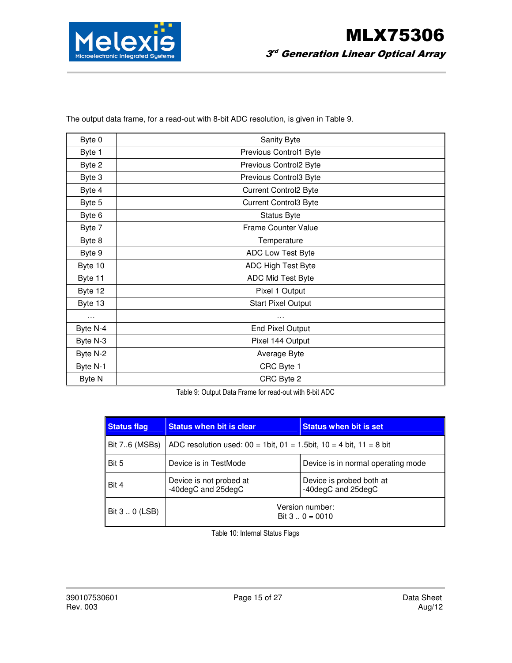

| Byte 0   | Sanity Byte                  |
|----------|------------------------------|
| Byte 1   | Previous Control1 Byte       |
| Byte 2   | Previous Control2 Byte       |
| Byte 3   | Previous Control3 Byte       |
| Byte 4   | <b>Current Control2 Byte</b> |
| Byte 5   | <b>Current Control3 Byte</b> |
| Byte 6   | <b>Status Byte</b>           |
| Byte 7   | Frame Counter Value          |
| Byte 8   | Temperature                  |
| Byte 9   | ADC Low Test Byte            |
| Byte 10  | ADC High Test Byte           |
| Byte 11  | ADC Mid Test Byte            |
| Byte 12  | Pixel 1 Output               |
| Byte 13  | <b>Start Pixel Output</b>    |
| $\cdots$ | .                            |
| Byte N-4 | <b>End Pixel Output</b>      |
| Byte N-3 | Pixel 144 Output             |
| Byte N-2 | Average Byte                 |
| Byte N-1 | CRC Byte 1                   |
| Byte N   | CRC Byte 2                   |

The output data frame, for a read-out with 8-bit ADC resolution, is given in Table 9.

Table 9: Output Data Frame for read-out with 8-bit ADC

| <b>Status flag</b> | <b>Status when bit is clear</b>                                               | <b>Status when bit is set</b>                  |  |  |
|--------------------|-------------------------------------------------------------------------------|------------------------------------------------|--|--|
| Bit 76 (MSBs)      | ADC resolution used: $00 = 1$ bit, $01 = 1.5$ bit, $10 = 4$ bit, $11 = 8$ bit |                                                |  |  |
| Bit 5              | Device is in TestMode                                                         | Device is in normal operating mode             |  |  |
| Bit 4              | Device is not probed at<br>-40degC and 25degC                                 | Device is probed both at<br>-40degC and 25degC |  |  |
| Bit 3  0 (LSB)     | Version number:<br>Bit $3 \dots 0 = 0010$                                     |                                                |  |  |

Table 10: Internal Status Flags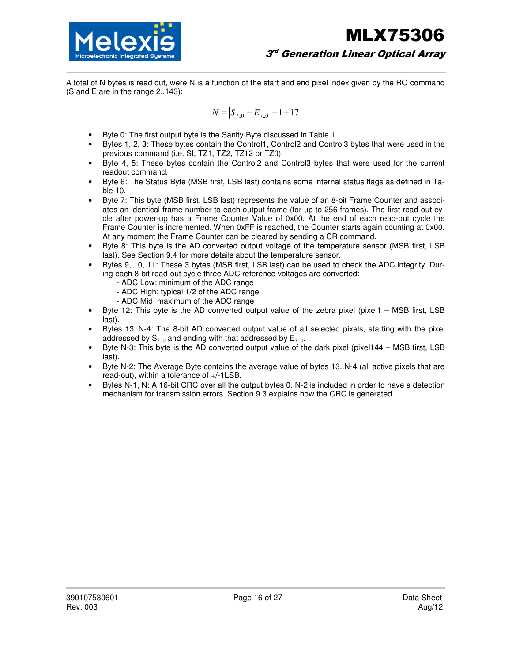

A total of N bytes is read out, were N is a function of the start and end pixel index given by the RO command (S and E are in the range 2..143):

$$
N = |S_{7.0} - E_{7.0}| + 1 + 17
$$

- Byte 0: The first output byte is the Sanity Byte discussed in Table 1.
- Bytes 1, 2, 3: These bytes contain the Control1, Control2 and Control3 bytes that were used in the previous command (i.e. SI, TZ1, TZ2, TZ12 or TZ0).
- Byte 4, 5: These bytes contain the Control2 and Control3 bytes that were used for the current readout command.
- Byte 6: The Status Byte (MSB first, LSB last) contains some internal status flags as defined in Table 10.
- Byte 7: This byte (MSB first, LSB last) represents the value of an 8-bit Frame Counter and associates an identical frame number to each output frame (for up to 256 frames). The first read-out cycle after power-up has a Frame Counter Value of 0x00. At the end of each read-out cycle the Frame Counter is incremented. When 0xFF is reached, the Counter starts again counting at 0x00. At any moment the Frame Counter can be cleared by sending a CR command.
- Byte 8: This byte is the AD converted output voltage of the temperature sensor (MSB first, LSB last). See Section 9.4 for more details about the temperature sensor.
- Bytes 9, 10, 11: These 3 bytes (MSB first, LSB last) can be used to check the ADC integrity. During each 8-bit read-out cycle three ADC reference voltages are converted:
	- ADC Low: minimum of the ADC range
	- ADC High: typical 1/2 of the ADC range
	- ADC Mid: maximum of the ADC range
- Byte 12: This byte is the AD converted output value of the zebra pixel (pixel1 MSB first, LSB last).
- Bytes 13..N-4: The 8-bit AD converted output value of all selected pixels, starting with the pixel addressed by  $S_{7.0}$  and ending with that addressed by  $E_{7.0}$ .
- Byte N-3: This byte is the AD converted output value of the dark pixel (pixel144 MSB first, LSB last).
- Byte N-2: The Average Byte contains the average value of bytes 13..N-4 (all active pixels that are read-out), within a tolerance of +/-1LSB.
- Bytes N-1, N: A 16-bit CRC over all the output bytes 0..N-2 is included in order to have a detection mechanism for transmission errors. Section 9.3 explains how the CRC is generated.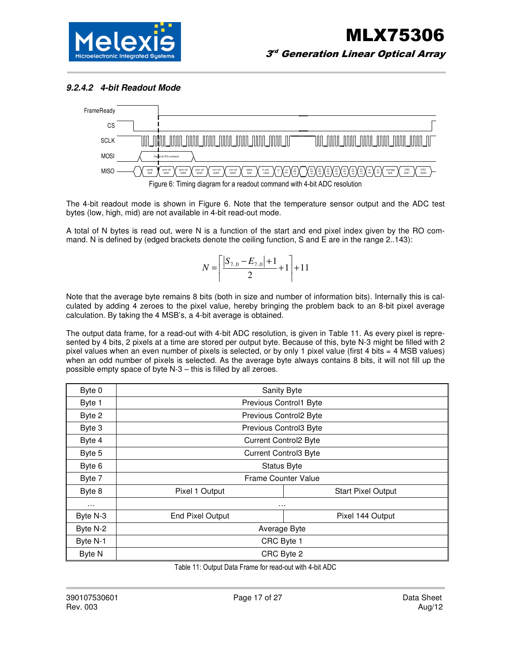

#### **9.2.4.2 4-bit Readout Mode**



The 4-bit readout mode is shown in Figure 6. Note that the temperature sensor output and the ADC test bytes (low, high, mid) are not available in 4-bit read-out mode.

A total of N bytes is read out, were N is a function of the start and end pixel index given by the RO command. N is defined by (edged brackets denote the ceiling function, S and E are in the range  $2.143$ ):

$$
N = \left\lceil \frac{|S_{7.0} - E_{7.0}| + 1}{2} + 1 \right\rceil + 11
$$

Note that the average byte remains 8 bits (both in size and number of information bits). Internally this is calculated by adding 4 zeroes to the pixel value, hereby bringing the problem back to an 8-bit pixel average calculation. By taking the 4 MSB's, a 4-bit average is obtained.

The output data frame, for a read-out with 4-bit ADC resolution, is given in Table 11. As every pixel is represented by 4 bits, 2 pixels at a time are stored per output byte. Because of this, byte N-3 might be filled with 2 pixel values when an even number of pixels is selected, or by only 1 pixel value (first 4 bits = 4 MSB values) when an odd number of pixels is selected. As the average byte always contains 8 bits, it will not fill up the possible empty space of byte N-3 – this is filled by all zeroes.

| Byte 0   | Sanity Byte                                 |                           |  |  |  |
|----------|---------------------------------------------|---------------------------|--|--|--|
| Byte 1   | Previous Control1 Byte                      |                           |  |  |  |
| Byte 2   | Previous Control2 Byte                      |                           |  |  |  |
| Byte 3   | Previous Control3 Byte                      |                           |  |  |  |
| Byte 4   | <b>Current Control2 Byte</b>                |                           |  |  |  |
| Byte 5   | <b>Current Control3 Byte</b>                |                           |  |  |  |
| Byte 6   | <b>Status Byte</b>                          |                           |  |  |  |
| Byte 7   | Frame Counter Value                         |                           |  |  |  |
| Byte 8   | Pixel 1 Output                              | <b>Start Pixel Output</b> |  |  |  |
| $\cdots$ | $\cdots$                                    |                           |  |  |  |
| Byte N-3 | <b>End Pixel Output</b><br>Pixel 144 Output |                           |  |  |  |
| Byte N-2 | Average Byte                                |                           |  |  |  |
| Byte N-1 | CRC Byte 1                                  |                           |  |  |  |
| Byte N   | CRC Byte 2                                  |                           |  |  |  |

Table 11: Output Data Frame for read-out with 4-bit ADC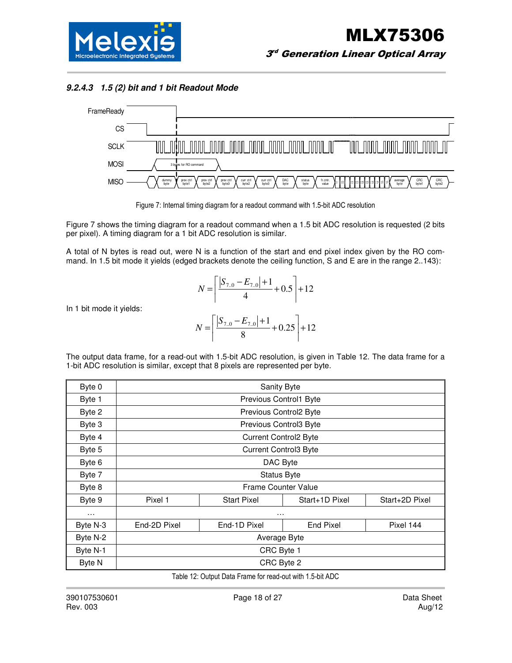**9.2.4.3 1.5 (2) bit and 1 bit Readout Mode** 



Figure 7: Internal timing diagram for a readout command with 1.5-bit ADC resolution

Figure 7 shows the timing diagram for a readout command when a 1.5 bit ADC resolution is requested (2 bits per pixel). A timing diagram for a 1 bit ADC resolution is similar.

A total of N bytes is read out, were N is a function of the start and end pixel index given by the RO command. In 1.5 bit mode it yields (edged brackets denote the ceiling function, S and E are in the range 2..143):

$$
N = \left\lceil \frac{|S_{7.0} - E_{7.0}| + 1}{4} + 0.5 \right\rceil + 12
$$

In 1 bit mode it yields:

$$
N = \left\lceil \frac{|S_{7.0} - E_{7.0}| + 1}{8} + 0.25 \right\rceil + 12
$$

The output data frame, for a read-out with 1.5-bit ADC resolution, is given in Table 12. The data frame for a 1-bit ADC resolution is similar, except that 8 pixels are represented per byte.

| Byte 0        | Sanity Byte                                            |                    |                              |                |  |  |
|---------------|--------------------------------------------------------|--------------------|------------------------------|----------------|--|--|
| Byte 1        | Previous Control1 Byte                                 |                    |                              |                |  |  |
| Byte 2        | Previous Control2 Byte                                 |                    |                              |                |  |  |
| Byte 3        |                                                        |                    | Previous Control3 Byte       |                |  |  |
| Byte 4        |                                                        |                    | <b>Current Control2 Byte</b> |                |  |  |
| Byte 5        |                                                        |                    | <b>Current Control3 Byte</b> |                |  |  |
| Byte 6        |                                                        | DAC Byte           |                              |                |  |  |
| Byte 7        |                                                        | <b>Status Byte</b> |                              |                |  |  |
| Byte 8        |                                                        |                    | Frame Counter Value          |                |  |  |
| Byte 9        | Pixel 1                                                | <b>Start Pixel</b> | Start+1D Pixel               | Start+2D Pixel |  |  |
| $\cdots$      |                                                        | .                  |                              |                |  |  |
| Byte N-3      | End-1D Pixel<br>End-2D Pixel<br>End Pixel<br>Pixel 144 |                    |                              |                |  |  |
| Byte N-2      | Average Byte                                           |                    |                              |                |  |  |
| Byte N-1      | CRC Byte 1                                             |                    |                              |                |  |  |
| <b>Byte N</b> |                                                        |                    | CRC Byte 2                   |                |  |  |

Table 12: Output Data Frame for read-out with 1.5-bit ADC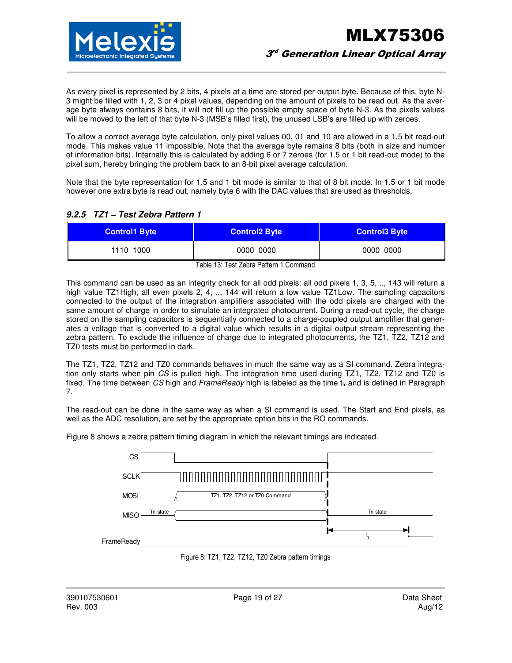

As every pixel is represented by 2 bits, 4 pixels at a time are stored per output byte. Because of this, byte N-3 might be filled with 1, 2, 3 or 4 pixel values, depending on the amount of pixels to be read out. As the average byte always contains 8 bits, it will not fill up the possible empty space of byte N-3. As the pixels values will be moved to the left of that byte N-3 (MSB's filled first), the unused LSB's are filled up with zeroes.

To allow a correct average byte calculation, only pixel values 00, 01 and 10 are allowed in a 1.5 bit read-out mode. This makes value 11 impossible. Note that the average byte remains 8 bits (both in size and number of information bits). Internally this is calculated by adding 6 or 7 zeroes (for 1.5 or 1 bit read-out mode) to the pixel sum, hereby bringing the problem back to an 8-bit pixel average calculation.

Note that the byte representation for 1.5 and 1 bit mode is similar to that of 8 bit mode. In 1.5 or 1 bit mode however one extra byte is read out, namely byte 6 with the DAC values that are used as thresholds.

#### **9.2.5 TZ1 – Test Zebra Pattern 1**

| <b>Control1 Byte</b> | <b>Control2 Byte</b> | <b>Control3 Byte</b> |
|----------------------|----------------------|----------------------|
| 1110 1000            | 0000 0000            | 0000 0000            |

Table 13: Test Zebra Pattern 1 Command

This command can be used as an integrity check for all odd pixels: all odd pixels 1, 3, 5, .., 143 will return a high value TZ1 High, all even pixels 2, 4, .., 144 will return a low value TZ1 Low. The sampling capacitors connected to the output of the integration amplifiers associated with the odd pixels are charged with the same amount of charge in order to simulate an integrated photocurrent. During a read-out cycle, the charge stored on the sampling capacitors is sequentially connected to a charge-coupled output amplifier that generates a voltage that is converted to a digital value which results in a digital output stream representing the zebra pattern. To exclude the influence of charge due to integrated photocurrents, the TZ1, TZ2, TZ12 and TZ0 tests must be performed in dark.

The TZ1, TZ2, TZ12 and TZ0 commands behaves in much the same way as a SI command. Zebra integration only starts when pin CS is pulled high. The integration time used during TZ1, TZ2, TZ12 and TZ0 is fixed. The time between CS high and FrameReady high is labeled as the time  $t_r$  and is defined in Paragraph 7.

The read-out can be done in the same way as when a SI command is used. The Start and End pixels, as well as the ADC resolution, are set by the appropriate option bits in the RO commands.

Figure 8 shows a zebra pattern timing diagram in which the relevant timings are indicated.



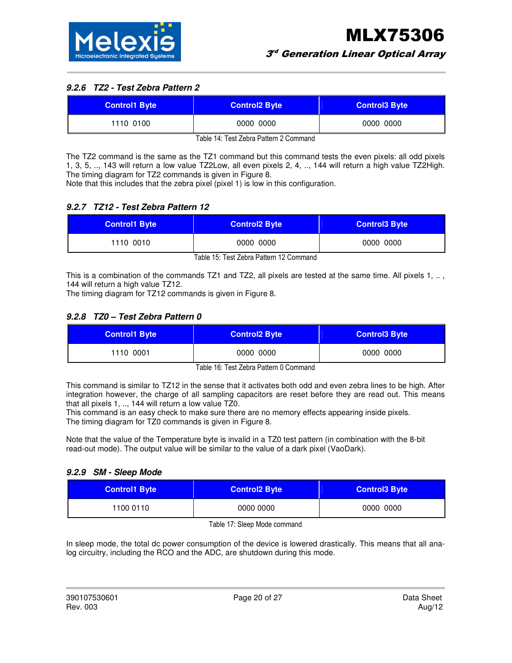### **9.2.6 TZ2 - Test Zebra Pattern 2**

| <b>Control1 Byte</b> | <b>Control2 Byte</b> | <b>Control3 Byte</b> |
|----------------------|----------------------|----------------------|
| 1110 0100            | 0000 0000            | 0000 0000            |

Table 14: Test Zebra Pattern 2 Command

The TZ2 command is the same as the TZ1 command but this command tests the even pixels: all odd pixels 1, 3, 5, .., 143 will return a low value TZ2Low, all even pixels 2, 4, .., 144 will return a high value TZ2High. The timing diagram for TZ2 commands is given in Figure 8.

Note that this includes that the zebra pixel (pixel 1) is low in this configuration.

#### **9.2.7 TZ12 - Test Zebra Pattern 12**

| <b>Control1 Byte</b>                    | <b>Control2 Byte</b> | <b>Control3 Byte</b> |
|-----------------------------------------|----------------------|----------------------|
| 1110 0010                               | 0000 0000            | 0000 0000            |
| Toble 15: Toot Zobro Dottorn 12 Commond |                      |                      |

Table 15: Test Zebra Pattern 12 Command

This is a combination of the commands TZ1 and TZ2, all pixels are tested at the same time. All pixels 1, .., 144 will return a high value TZ12.

The timing diagram for TZ12 commands is given in Figure 8.

#### **9.2.8 TZ0 – Test Zebra Pattern 0**

| <b>Control1 Byte</b> | <b>Control2 Byte</b> | <b>Control3 Byte</b> |
|----------------------|----------------------|----------------------|
| 1110 0001            | 0000 0000            | 0000 0000            |

Table 16: Test Zebra Pattern 0 Command

This command is similar to TZ12 in the sense that it activates both odd and even zebra lines to be high. After integration however, the charge of all sampling capacitors are reset before they are read out. This means that all pixels 1, .., 144 will return a low value  $T\bar{Z}0$ .

This command is an easy check to make sure there are no memory effects appearing inside pixels. The timing diagram for TZ0 commands is given in Figure 8.

Note that the value of the Temperature byte is invalid in a TZ0 test pattern (in combination with the 8-bit read-out mode). The output value will be similar to the value of a dark pixel (VaoDark).

#### **9.2.9 SM - Sleep Mode**

| <b>Control1 Byte</b> | <b>Control2 Byte</b> | <b>Control3 Byte</b> |
|----------------------|----------------------|----------------------|
| 1100 0110            | 0000 0000            | 0000 0000            |

Table 17: Sleep Mode command

In sleep mode, the total dc power consumption of the device is lowered drastically. This means that all analog circuitry, including the RCO and the ADC, are shutdown during this mode.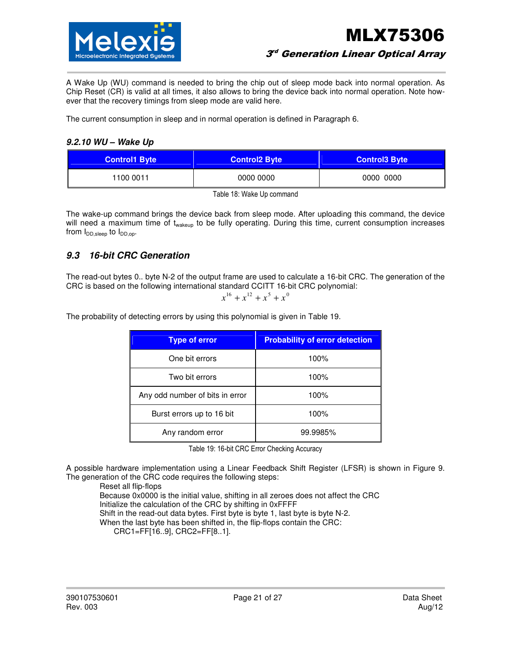

 $3^{\circ}$  Generation Linear Optical Array

A Wake Up (WU) command is needed to bring the chip out of sleep mode back into normal operation. As Chip Reset (CR) is valid at all times, it also allows to bring the device back into normal operation. Note however that the recovery timings from sleep mode are valid here.

The current consumption in sleep and in normal operation is defined in Paragraph 6.

#### **9.2.10 WU – Wake Up**

| <b>Control1 Byte</b> | <b>Control2 Byte</b> | <b>Control3 Byte</b> |
|----------------------|----------------------|----------------------|
| 1100 0011            | 0000 0000            | 0000 0000            |

Table 18: Wake Up command

The wake-up command brings the device back from sleep mode. After uploading this command, the device will need a maximum time of t<sub>wakeup</sub> to be fully operating. During this time, current consumption increases from  $I_{DD,sleep}$  to  $I_{DD,op}$ .

### **9.3 16-bit CRC Generation**

The read-out bytes 0.. byte N-2 of the output frame are used to calculate a 16-bit CRC. The generation of the CRC is based on the following international standard CCITT 16-bit CRC polynomial:

$$
x^{16} + x^{12} + x^5 + x^0
$$

The probability of detecting errors by using this polynomial is given in Table 19.

| <b>Type of error</b>            | <b>Probability of error detection</b> |
|---------------------------------|---------------------------------------|
| One bit errors                  | 100%                                  |
| Two bit errors                  | 100%                                  |
| Any odd number of bits in error | 100%                                  |
| Burst errors up to 16 bit       | 100%                                  |
| Any random error                | 99.9985%                              |

Table 19: 16-bit CRC Error Checking Accuracy

A possible hardware implementation using a Linear Feedback Shift Register (LFSR) is shown in Figure 9. The generation of the CRC code requires the following steps:

Reset all flip-flops

Because 0x0000 is the initial value, shifting in all zeroes does not affect the CRC Initialize the calculation of the CRC by shifting in 0xFFFF Shift in the read-out data bytes. First byte is byte 1, last byte is byte N-2. When the last byte has been shifted in, the flip-flops contain the CRC: CRC1=FF[16..9], CRC2=FF[8..1].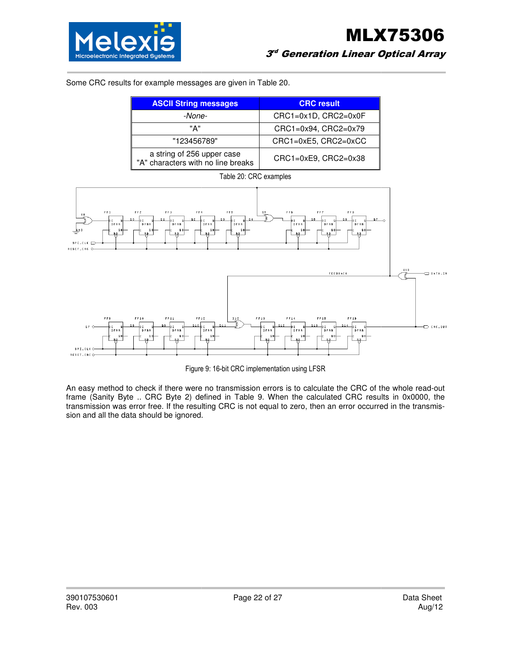

Some CRC results for example messages are given in Table 20.

| <b>ASCII String messages</b>                                     | <b>CRC</b> result    |
|------------------------------------------------------------------|----------------------|
| -None-                                                           | CRC1=0x1D, CRC2=0x0F |
| "А"                                                              | CRC1=0x94, CRC2=0x79 |
| "123456789"                                                      | CRC1=0xE5, CRC2=0xCC |
| a string of 256 upper case<br>"A" characters with no line breaks | CRC1=0xE9, CRC2=0x38 |



Figure 9: 16-bit CRC implementation using LFSR

An easy method to check if there were no transmission errors is to calculate the CRC of the whole read to read-out An easy method to check if there were no transmission errors is to calculate the CRC of the whole read-out<br>frame (Sanity Byte .. CRC Byte 2) defined in Table 9. When the calculated CRC results in 0x0000, the transmission was error free. If the resulting CRC is not equal to zero, then an error occurred in the transmission and all the data should be ignored.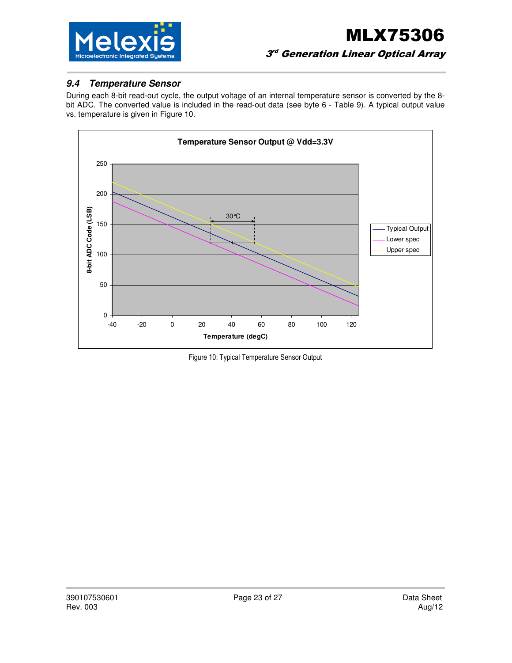

#### **9.4 Temperature Sensor**

During each 8-bit read-out cycle, the output voltage of an internal temperature sensor is converted by the 8 bit ADC. The converted value is included in the read-out data (see byte 6 - Table 9). A typical output value vs. temperature is given in Figure 10.



Figure 10: Typical Temperature Sensor Output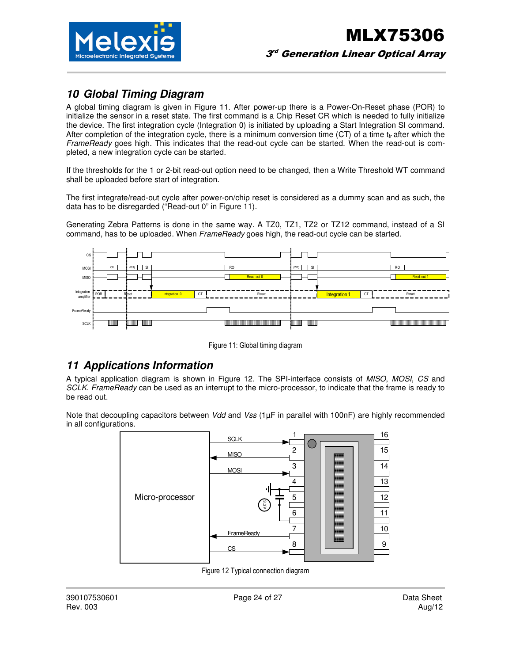

### **10 Global Timing Diagram**

A global timing diagram is given in Figure 11. After power-up there is a Power-On-Reset phase (POR) to initialize the sensor in a reset state. The first command is a Chip Reset CR which is needed to fully initialize the device. The first integration cycle (Integration 0) is initiated by uploading a Start Integration SI command. After completion of the integration cycle, there is a minimum conversion time (CT) of a time  $t_f$  after which the FrameReady goes high. This indicates that the read-out cycle can be started. When the read-out is completed, a new integration cycle can be started.

If the thresholds for the 1 or 2-bit read-out option need to be changed, then a Write Threshold WT command shall be uploaded before start of integration.

The first integrate/read-out cycle after power-on/chip reset is considered as a dummy scan and as such, the data has to be disregarded ("Read-out 0" in Figure 11).

Generating Zebra Patterns is done in the same way. A TZ0, TZ1, TZ2 or TZ12 command, instead of a SI command, has to be uploaded. When FrameReady goes high, the read-out cycle can be started.



Figure 11: Global timing diagram

### **11 Applications Information**

A typical application diagram is shown in Figure 12. The SPI-interface consists of MISO, MOSI, CS and SCLK. FrameReady can be used as an interrupt to the micro-processor, to indicate that the frame is ready to be read out.

Note that decoupling capacitors between Vdd and Vss  $(1\mu F)$  in parallel with 100nF) are highly recommended in all configurations.



Figure 12 Typical connection diagram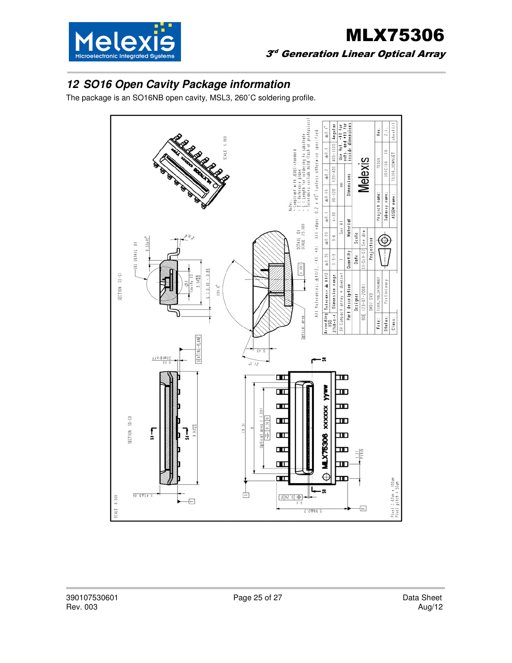

# MLX75306  $3^{\circ}$  Generation Linear Optical Array

# **12 SO16 Open Cavity Package information**

The package is an SO16NB open cavity, MSL3, 260˚C soldering profile.

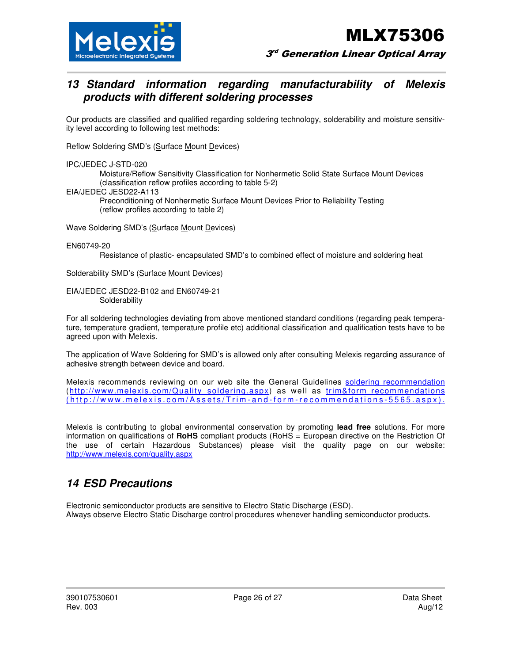

 $3^{\circ}$  Generation Linear Optical Array

### **13 Standard information regarding manufacturability of Melexis products with different soldering processes**

Our products are classified and qualified regarding soldering technology, solderability and moisture sensitivity level according to following test methods:

Reflow Soldering SMD's (Surface Mount Devices)

IPC/JEDEC J-STD-020

 Moisture/Reflow Sensitivity Classification for Nonhermetic Solid State Surface Mount Devices (classification reflow profiles according to table 5-2)

EIA/JEDEC JESD22-A113

 Preconditioning of Nonhermetic Surface Mount Devices Prior to Reliability Testing (reflow profiles according to table 2)

Wave Soldering SMD's (Surface Mount Devices)

EN60749-20

Resistance of plastic- encapsulated SMD's to combined effect of moisture and soldering heat

Solderability SMD's (Surface Mount Devices)

EIA/JEDEC JESD22-B102 and EN60749-21 **Solderability** 

For all soldering technologies deviating from above mentioned standard conditions (regarding peak temperature, temperature gradient, temperature profile etc) additional classification and qualification tests have to be agreed upon with Melexis.

The application of Wave Soldering for SMD's is allowed only after consulting Melexis regarding assurance of adhesive strength between device and board.

Melexis recommends reviewing on our web site the General Guidelines soldering recommendation (http://www.melexis.com/Quality\_soldering.aspx) as well as trim&form recommendations (http://www.melexis.com/Assets/Trim-and-form-recommendations-5565.aspx).

Melexis is contributing to global environmental conservation by promoting **lead free** solutions. For more information on qualifications of **RoHS** compliant products (RoHS = European directive on the Restriction Of the use of certain Hazardous Substances) please visit the quality page on our website: http://www.melexis.com/quality.aspx

### **14 ESD Precautions**

Electronic semiconductor products are sensitive to Electro Static Discharge (ESD). Always observe Electro Static Discharge control procedures whenever handling semiconductor products.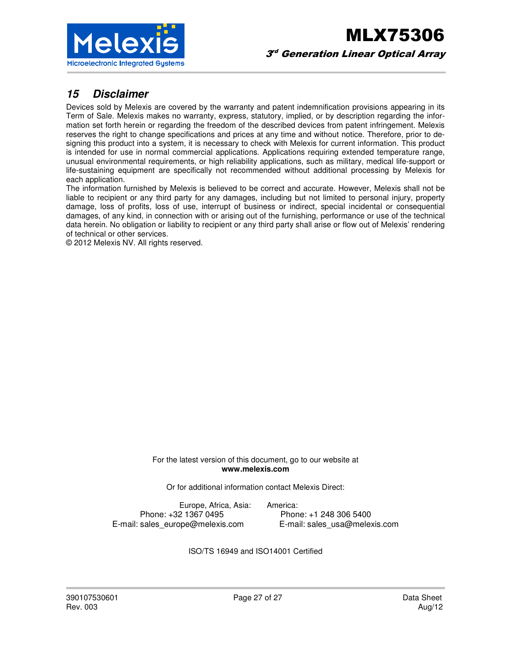

### **15 Disclaimer**

Devices sold by Melexis are covered by the warranty and patent indemnification provisions appearing in its Term of Sale. Melexis makes no warranty, express, statutory, implied, or by description regarding the information set forth herein or regarding the freedom of the described devices from patent infringement. Melexis reserves the right to change specifications and prices at any time and without notice. Therefore, prior to designing this product into a system, it is necessary to check with Melexis for current information. This product is intended for use in normal commercial applications. Applications requiring extended temperature range, unusual environmental requirements, or high reliability applications, such as military, medical life-support or life-sustaining equipment are specifically not recommended without additional processing by Melexis for each application.

The information furnished by Melexis is believed to be correct and accurate. However, Melexis shall not be liable to recipient or any third party for any damages, including but not limited to personal injury, property damage, loss of profits, loss of use, interrupt of business or indirect, special incidental or consequential damages, of any kind, in connection with or arising out of the furnishing, performance or use of the technical data herein. No obligation or liability to recipient or any third party shall arise or flow out of Melexis' rendering of technical or other services.

© 2012 Melexis NV. All rights reserved.

For the latest version of this document, go to our website at **www.melexis.com** 

Or for additional information contact Melexis Direct:

Europe, Africa, Asia: America: E-mail: sales\_europe@melexis.com

Phone: +32 1367 0495 Phone: +1 248 306 5400<br>
sales europe@melexis.com E-mail: sales usa@melexis.com

ISO/TS 16949 and ISO14001 Certified